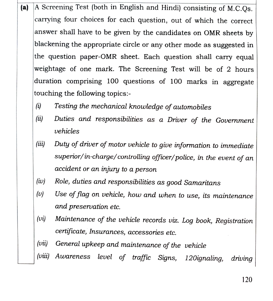- (a) A Screening Test (both in English and Hindi) consisting of M.c.Qs. carrying four choices for each question, out of which the correct answer shall have to be given by the candidates on OMR sheets by blackening the appropriate circle or any other mode as suggested in the question paper-OMR sheet. Each question shall carry equal weightage of one mark. The Screening Test will be of 2 hours duration comprising 100 questions of 100 marks in aggregate touching the following topics:
	- Testing the mechanical knowledge of automobiles  $(i)$
	- Duties and responsibilities as a Driver of the Government|  $(ii)$ vehicles
	- (iii) Duty of driver of motor vehicle to give information to immediate superior/in-charge/controlling officer/police, in the event of an accident or an injury to a person
	- (iv) Role, duties and responsibilities as good Samaritans
	- Use of flag on vehicle, how and when to use, its maintenance  $(v)$ and preservation etc.
	- $(vi)$ Maintenance of the vehicle records viz. Log book, Registration certificate, Insurances, accessories etc.
	- (vii) General upkeep and maintenance of the vehicle
	- (vii) Awareness level of traffic Signs, 120ignaling, driving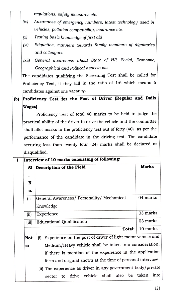regulations, safety measures etc.

- (ix) Awareness of emergency numbers, latest technology used in vehicles, pollution compatibility, insurance etc
- $(x)$  Testing basic knowledge of first aid
- (xi) Etiquettes, manners towards family members of dignitaries and colleagues
- (xii) General awareness about State of HP, Social, Economic, Geographical and Political aspects etc

The candidates qualifying the Screening Test shall be called for Proficiency Test, if they fall in the ratio of 1:6 which means 6 candidates against one vacancy.

## (b) Proficiency Test for the Post of Driver (Regular and Daily Wages)

Proficiency Test of total 40 marks to be held to judge the practical ability of the driver to drive the vehicle and the committee shall allot marks in the proficiency test out of forty (40) as per the performance of the candidate in the driving test. The candidate securing less than twenty four (24) marks shall be declared as disqualified.

|            | Interview of 10 marks consisting of following:                     |              |  |  |
|------------|--------------------------------------------------------------------|--------------|--|--|
| Sl         | Description of the Field                                           | <b>Marks</b> |  |  |
|            |                                                                    |              |  |  |
| N          |                                                                    |              |  |  |
| о.         |                                                                    |              |  |  |
| (i)        | General Awareness/ Personality/ Mechanical                         | 04 marks     |  |  |
|            | Knowledge                                                          |              |  |  |
| (ii)       | Experience                                                         | 03 marks     |  |  |
| (iii)      | <b>Educational Qualification</b>                                   | 03 marks     |  |  |
|            | Total:                                                             | 10 marks     |  |  |
| <b>Not</b> | Experience on the post of driver of light motor vehicle and<br>(i) |              |  |  |
| e:         | Medium/Heavy vehicle shall be taken into consideration,            |              |  |  |
|            | if there is mention of the experience in the application           |              |  |  |
|            | form and original shown at the time of personal interview          |              |  |  |
|            | (ii) The experience as driver in any government body/private       |              |  |  |
|            | vehicle shall also be taken<br>drive<br>sector<br>tο               | into         |  |  |